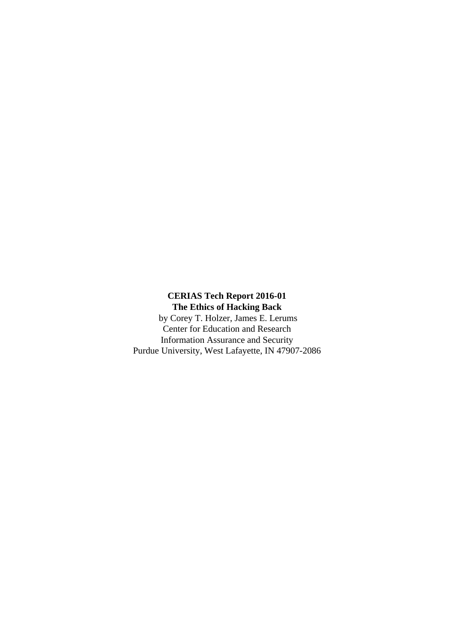**CERIAS Tech Report 2016-01 The Ethics of Hacking Back**

 by Corey T. Holzer, James E. Lerums Center for Education and Research Information Assurance and Security Purdue University, West Lafayette, IN 47907-2086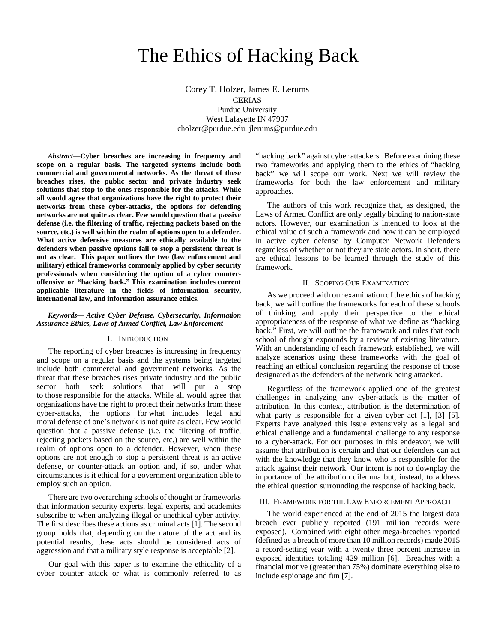# The Ethics of Hacking Back

Corey T. Holzer, James E. Lerums CERIAS Purdue University West Lafayette IN 47907 cholzer@purdue.edu, jlerums@purdue.edu

*Abstract***—Cyber breaches are increasing in frequency and scope on a regular basis. The targeted systems include both commercial and governmental networks. As the threat of these breaches rises, the public sector and private industry seek solutions that stop to the ones responsible for the attacks. While all would agree that organizations have the right to protect their networks from these cyber-attacks, the options for defending networks are not quite as clear. Few would question that a passive defense (i.e. the filtering of traffic, rejecting packets based on the source, etc.) is well within the realm of options open to a defender. What active defensive measures are ethically available to the defenders when passive options fail to stop a persistent threat is not as clear. This paper outlines the two (law enforcement and military) ethical frameworks commonly applied by cyber security professionals when considering the option of a cyber counteroffensive or "hacking back." This examination includes current applicable literature in the fields of information security, international law, and information assurance ethics.**

## *Keywords— Active Cyber Defense, Cybersecurity, Information Assurance Ethics, Laws of Armed Conflict, Law Enforcement*

#### I. INTRODUCTION

The reporting of cyber breaches is increasing in frequency and scope on a regular basis and the systems being targeted include both commercial and government networks. As the threat that these breaches rises private industry and the public sector both seek solutions that will put a stop to those responsible for the attacks. While all would agree that organizations have the right to protect their networks from these cyber-attacks, the options for what includes legal and moral defense of one's network is not quite as clear. Few would question that a passive defense (i.e. the filtering of traffic, rejecting packets based on the source, etc.) are well within the realm of options open to a defender. However, when these options are not enough to stop a persistent threat is an active defense, or counter-attack an option and, if so, under what circumstances is it ethical for a government organization able to employ such an option.

There are two overarching schools of thought or frameworks that information security experts, legal experts, and academics subscribe to when analyzing illegal or unethical cyber activity. The first describes these actions as criminal acts [1]. The second group holds that, depending on the nature of the act and its potential results, these acts should be considered acts of aggression and that a military style response is acceptable [2].

Our goal with this paper is to examine the ethicality of a cyber counter attack or what is commonly referred to as

"hacking back" against cyber attackers. Before examining these two frameworks and applying them to the ethics of "hacking back" we will scope our work. Next we will review the frameworks for both the law enforcement and military approaches.

The authors of this work recognize that, as designed, the Laws of Armed Conflict are only legally binding to nation-state actors. However, our examination is intended to look at the ethical value of such a framework and how it can be employed in active cyber defense by Computer Network Defenders regardless of whether or not they are state actors. In short, there are ethical lessons to be learned through the study of this framework.

## II. SCOPING OUR EXAMINATION

As we proceed with our examination of the ethics of hacking back, we will outline the frameworks for each of these schools of thinking and apply their perspective to the ethical appropriateness of the response of what we define as "hacking back." First, we will outline the framework and rules that each school of thought expounds by a review of existing literature. With an understanding of each framework established, we will analyze scenarios using these frameworks with the goal of reaching an ethical conclusion regarding the response of those designated as the defenders of the network being attacked.

Regardless of the framework applied one of the greatest challenges in analyzing any cyber-attack is the matter of attribution. In this context, attribution is the determination of what party is responsible for a given cyber act [1], [3]–[5]. Experts have analyzed this issue extensively as a legal and ethical challenge and a fundamental challenge to any response to a cyber-attack. For our purposes in this endeavor, we will assume that attribution is certain and that our defenders can act with the knowledge that they know who is responsible for the attack against their network. Our intent is not to downplay the importance of the attribution dilemma but, instead, to address the ethical question surrounding the response of hacking back.

#### III. FRAMEWORK FOR THE LAW ENFORCEMENT APPROACH

The world experienced at the end of 2015 the largest data breach ever publicly reported (191 million records were exposed). Combined with eight other mega-breaches reported (defined as a breach of more than 10 million records) made 2015 a record-setting year with a twenty three percent increase in exposed identities totaling 429 million [6]. Breaches with a financial motive (greater than 75%) dominate everything else to include espionage and fun [7].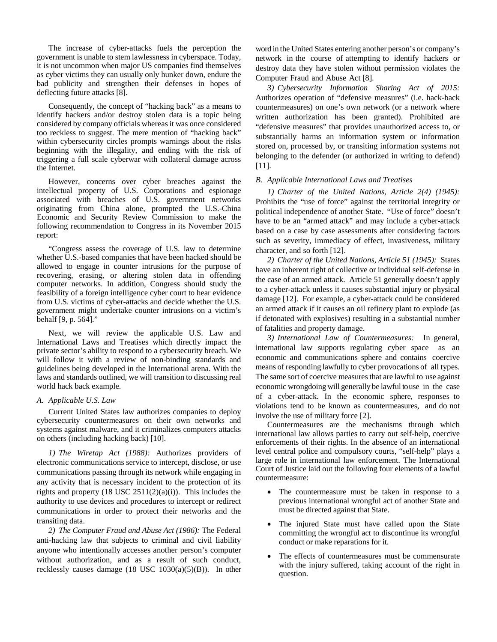The increase of cyber-attacks fuels the perception the government is unable to stem lawlessness in cyberspace. Today, it is not uncommon when major US companies find themselves as cyber victims they can usually only hunker down, endure the bad publicity and strengthen their defenses in hopes of deflecting future attacks [8].

Consequently, the concept of "hacking back" as a means to identify hackers and/or destroy stolen data is a topic being considered by company officials whereas it was once considered too reckless to suggest. The mere mention of "hacking back" within cybersecurity circles prompts warnings about the risks beginning with the illegality, and ending with the risk of triggering a full scale cyberwar with collateral damage across the Internet.

However, concerns over cyber breaches against the intellectual property of U.S. Corporations and espionage associated with breaches of U.S. government networks originating from China alone, prompted the U.S.-China Economic and Security Review Commission to make the following recommendation to Congress in its November 2015 report:

"Congress assess the coverage of U.S. law to determine whether U.S.-based companies that have been hacked should be allowed to engage in counter intrusions for the purpose of recovering, erasing, or altering stolen data in offending computer networks. In addition, Congress should study the feasibility of a foreign intelligence cyber court to hear evidence from U.S. victims of cyber-attacks and decide whether the U.S. government might undertake counter intrusions on a victim's behalf [9, p. 564]."

Next, we will review the applicable U.S. Law and International Laws and Treatises which directly impact the private sector's ability to respond to a cybersecurity breach. We will follow it with a review of non-binding standards and guidelines being developed in the International arena. With the laws and standards outlined, we will transition to discussing real world hack back example.

## *A. Applicable U.S. Law*

Current United States law authorizes companies to deploy cybersecurity countermeasures on their own networks and systems against malware, and it criminalizes computers attacks on others (including hacking back) [10].

*1) The Wiretap Act (1988):* Authorizes providers of electronic communications service to intercept, disclose, or use communications passing through its network while engaging in any activity that is necessary incident to the protection of its rights and property  $(18 \text{ USC } 2511(2)(a)(i))$ . This includes the authority to use devices and procedures to intercept or redirect communications in order to protect their networks and the transiting data.

*2) The Computer Fraud and Abuse Act (1986):* The Federal anti-hacking law that subjects to criminal and civil liability anyone who intentionally accesses another person's computer without authorization, and as a result of such conduct, recklessly causes damage (18 USC 1030(a)(5)(B)). In other word in the United States entering another person's or company's network in the course of attempting to identify hackers or destroy data they have stolen without permission violates the Computer Fraud and Abuse Act [8].

*3) Cybersecurity Information Sharing Act of 2015:*  Authorizes operation of "defensive measures" (i.e. hack-back countermeasures) on one's own network (or a network where written authorization has been granted). Prohibited are "defensive measures" that provides unauthorized access to, or substantially harms an information system or information stored on, processed by, or transiting information systems not belonging to the defender (or authorized in writing to defend) [11].

# *B. Applicable International Laws and Treatises*

*1) Charter of the United Nations, Article 2(4) (1945):*  Prohibits the "use of force" against the territorial integrity or political independence of another State. "Use of force" doesn't have to be an "armed attack" and may include a cyber-attack based on a case by case assessments after considering factors such as severity, immediacy of effect, invasiveness, military character, and so forth [12].

*2) Charter of the United Nations, Article 51 (1945):* States have an inherent right of collective or individual self-defense in the case of an armed attack. Article 51 generally doesn't apply to a cyber-attack unless it causes substantial injury or physical damage [12]. For example, a cyber-attack could be considered an armed attack if it causes an oil refinery plant to explode (as if detonated with explosives) resulting in a substantial number of fatalities and property damage.

*3) International Law of Countermeasures:* In general, international law supports regulating cyber space as an economic and communications sphere and contains coercive means of responding lawfully to cyber provocations of all types. The same sort of coercive measures that are lawful to use against economic wrongdoing will generally be lawful to use in the case of a cyber-attack. In the economic sphere, responses to violations tend to be known as countermeasures, and do not involve the use of military force [2].

Countermeasures are the mechanisms through which international law allows parties to carry out self-help, coercive enforcements of their rights. In the absence of an international level central police and compulsory courts, "self-help" plays a large role in international law enforcement. The International Court of Justice laid out the following four elements of a lawful countermeasure:

- The countermeasure must be taken in response to a previous international wrongful act of another State and must be directed against that State.
- The injured State must have called upon the State committing the wrongful act to discontinue its wrongful conduct or make reparations for it.
- The effects of countermeasures must be commensurate with the injury suffered, taking account of the right in question.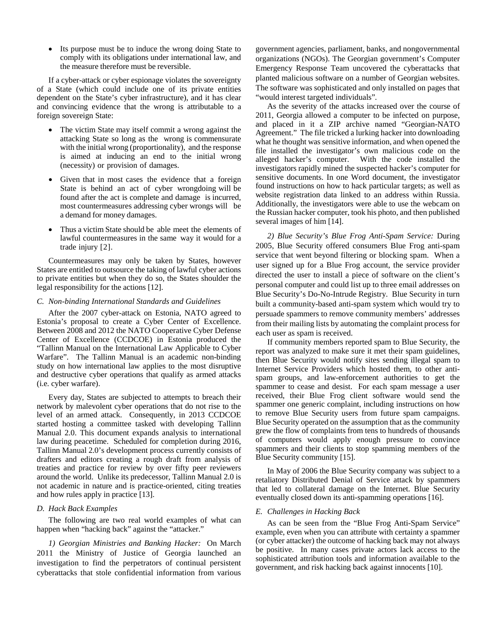• Its purpose must be to induce the wrong doing State to comply with its obligations under international law, and the measure therefore must be reversible.

If a cyber-attack or cyber espionage violates the sovereignty of a State (which could include one of its private entities dependent on the State's cyber infrastructure), and it has clear and convincing evidence that the wrong is attributable to a foreign sovereign State:

- The victim State may itself commit a wrong against the attacking State so long as the wrong is commensurate with the initial wrong (proportionality), and the response is aimed at inducing an end to the initial wrong (necessity) or provision of damages.
- Given that in most cases the evidence that a foreign State is behind an act of cyber wrongdoing will be found after the act is complete and damage is incurred, most countermeasures addressing cyber wrongs will be a demand for money damages.
- Thus a victim State should be able meet the elements of lawful countermeasures in the same way it would for a trade injury [2].

Countermeasures may only be taken by States, however States are entitled to outsource the taking of lawful cyber actions to private entities but when they do so, the States shoulder the legal responsibility for the actions [12].

#### *C. Non-binding International Standards and Guidelines*

After the 2007 cyber-attack on Estonia, NATO agreed to Estonia's proposal to create a Cyber Center of Excellence. Between 2008 and 2012 the NATO Cooperative Cyber Defense Center of Excellence (CCDCOE) in Estonia produced the "Tallinn Manual on the International Law Applicable to Cyber Warfare". The Tallinn Manual is an academic non-binding study on how international law applies to the most disruptive and destructive cyber operations that qualify as armed attacks (i.e. cyber warfare).

Every day, States are subjected to attempts to breach their network by malevolent cyber operations that do not rise to the level of an armed attack. Consequently, in 2013 CCDCOE started hosting a committee tasked with developing Tallinn Manual 2.0. This document expands analysis to international law during peacetime. Scheduled for completion during 2016, Tallinn Manual 2.0's development process currently consists of drafters and editors creating a rough draft from analysis of treaties and practice for review by over fifty peer reviewers around the world. Unlike its predecessor, Tallinn Manual 2.0 is not academic in nature and is practice-oriented, citing treaties and how rules apply in practice [13].

## *D. Hack Back Examples*

The following are two real world examples of what can happen when "hacking back" against the "attacker."

*1) Georgian Ministries and Banking Hacker:* On March 2011 the Ministry of Justice of Georgia launched an investigation to find the perpetrators of continual persistent cyberattacks that stole confidential information from various

government agencies, parliament, banks, and nongovernmental organizations (NGOs). The Georgian government's Computer Emergency Response Team uncovered the cyberattacks that planted malicious software on a number of Georgian websites. The software was sophisticated and only installed on pages that "would interest targeted individuals"*.* 

As the severity of the attacks increased over the course of 2011, Georgia allowed a computer to be infected on purpose, and placed in it a ZIP archive named "Georgian-NATO Agreement." The file tricked a lurking hacker into downloading what he thought was sensitive information, and when opened the file installed the investigator's own malicious code on the alleged hacker's computer. With the code installed the investigators rapidly mined the suspected hacker's computer for sensitive documents. In one Word document, the investigator found instructions on how to hack particular targets; as well as website registration data linked to an address within Russia. Additionally, the investigators were able to use the webcam on the Russian hacker computer, took his photo, and then published several images of him [14].

*2) Blue Security's Blue Frog Anti-Spam Service:* During 2005, Blue Security offered consumers Blue Frog anti-spam service that went beyond filtering or blocking spam. When a user signed up for a Blue Frog account, the service provider directed the user to install a piece of software on the client's personal computer and could list up to three email addresses on Blue Security's Do-No-Intrude Registry. Blue Security in turn built a community-based anti-spam system which would try to persuade spammers to remove community members' addresses from their mailing lists by automating the complaint process for each user as spam is received.

If community members reported spam to Blue Security, the report was analyzed to make sure it met their spam guidelines, then Blue Security would notify sites sending illegal spam to Internet Service Providers which hosted them, to other antispam groups, and law-enforcement authorities to get the spammer to cease and desist. For each spam message a user received, their Blue Frog client software would send the spammer one generic complaint, including instructions on how to remove Blue Security users from future spam campaigns. Blue Security operated on the assumption that as the community grew the flow of complaints from tens to hundreds of thousands of computers would apply enough pressure to convince spammers and their clients to stop spamming members of the Blue Security community [15].

In May of 2006 the Blue Security company was subject to a retaliatory Distributed Denial of Service attack by spammers that led to collateral damage on the Internet. Blue Security eventually closed down its anti-spamming operations [16].

## *E. Challenges in Hacking Back*

As can be seen from the "Blue Frog Anti-Spam Service" example, even when you can attribute with certainty a spammer (or cyber attacker) the outcome of hacking back may not always be positive. In many cases private actors lack access to the sophisticated attribution tools and information available to the government, and risk hacking back against innocents [10].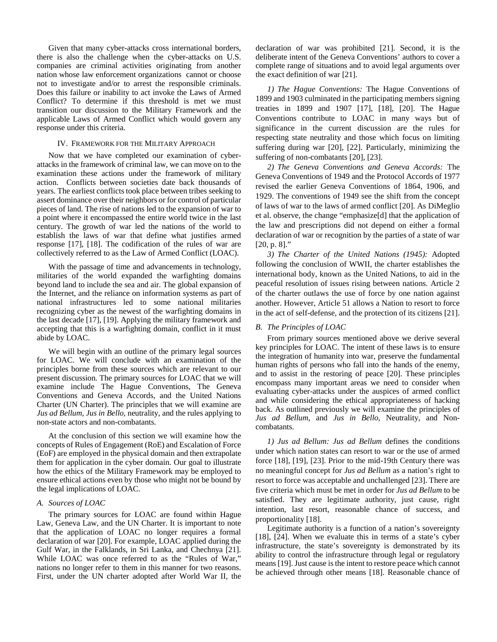Given that many cyber-attacks cross international borders, there is also the challenge when the cyber-attacks on U.S. companies are criminal activities originating from another nation whose law enforcement organizations cannot or choose not to investigate and/or to arrest the responsible criminals. Does this failure or inability to act invoke the Laws of Armed Conflict? To determine if this threshold is met we must transition our discussion to the Military Framework and the applicable Laws of Armed Conflict which would govern any response under this criteria.

## IV. FRAMEWORK FOR THE MILITARY APPROACH

Now that we have completed our examination of cyberattacks in the framework of criminal law, we can move on to the examination these actions under the framework of military action. Conflicts between societies date back thousands of years. The earliest conflicts took place between tribes seeking to assert dominance over their neighbors or for control of particular pieces of land. The rise of nations led to the expansion of war to a point where it encompassed the entire world twice in the last century. The growth of war led the nations of the world to establish the laws of war that define what justifies armed response [17], [18]. The codification of the rules of war are collectively referred to as the Law of Armed Conflict (LOAC).

With the passage of time and advancements in technology, militaries of the world expanded the warfighting domains beyond land to include the sea and air. The global expansion of the Internet, and the reliance on information systems as part of national infrastructures led to some national militaries recognizing cyber as the newest of the warfighting domains in the last decade [17], [19]. Applying the military framework and accepting that this is a warfighting domain, conflict in it must abide by LOAC.

We will begin with an outline of the primary legal sources for LOAC. We will conclude with an examination of the principles borne from these sources which are relevant to our present discussion. The primary sources for LOAC that we will examine include The Hague Conventions, The Geneva Conventions and Geneva Accords, and the United Nations Charter (UN Charter). The principles that we will examine are *Jus ad Bellum*, *Jus in Bello*, neutrality, and the rules applying to non-state actors and non-combatants.

At the conclusion of this section we will examine how the concepts of Rules of Engagement (RoE) and Escalation of Force (EoF) are employed in the physical domain and then extrapolate them for application in the cyber domain. Our goal to illustrate how the ethics of the Military Framework may be employed to ensure ethical actions even by those who might not be bound by the legal implications of LOAC.

## *A. Sources of LOAC*

The primary sources for LOAC are found within Hague Law, Geneva Law, and the UN Charter. It is important to note that the application of LOAC no longer requires a formal declaration of war [20]. For example, LOAC applied during the Gulf War, in the Falklands, in Sri Lanka, and Chechnya [21]. While LOAC was once referred to as the "Rules of War," nations no longer refer to them in this manner for two reasons. First, under the UN charter adopted after World War II, the declaration of war was prohibited [21]. Second, it is the deliberate intent of the Geneva Conventions' authors to cover a complete range of situations and to avoid legal arguments over the exact definition of war [21].

*1) The Hague Conventions:* The Hague Conventions of 1899 and 1903 culminated in the participating members signing treaties in 1899 and 1907 [17], [18], [20]. The Hague Conventions contribute to LOAC in many ways but of significance in the current discussion are the rules for respecting state neutrality and those which focus on limiting suffering during war [20], [22]. Particularly, minimizing the suffering of non-combatants [20], [23].

*2) The Geneva Conventions and Geneva Accords:* The Geneva Conventions of 1949 and the Protocol Accords of 1977 revised the earlier Geneva Conventions of 1864, 1906, and 1929. The conventions of 1949 see the shift from the concept of laws of war to the laws of armed conflict [20]. As DiMeglio et al. observe, the change "emphasize[d] that the application of the law and prescriptions did not depend on either a formal declaration of war or recognition by the parties of a state of war [20, p. 8]."

*3) The Charter of the United Nations (1945):* Adopted following the conclusion of WWII, the charter establishes the international body, known as the United Nations, to aid in the peaceful resolution of issues rising between nations. Article 2 of the charter outlaws the use of force by one nation against another. However, Article 51 allows a Nation to resort to force in the act of self-defense, and the protection of its citizens [21].

#### *B. The Principles of LOAC*

From primary sources mentioned above we derive several key principles for LOAC. The intent of these laws is to ensure the integration of humanity into war, preserve the fundamental human rights of persons who fall into the hands of the enemy, and to assist in the restoring of peace [20]. These principles encompass many important areas we need to consider when evaluating cyber-attacks under the auspices of armed conflict and while considering the ethical appropriateness of hacking back. As outlined previously we will examine the principles of *Jus ad Bellum*, and *Jus in Bello*, Neutrality, and Noncombatants.

*1) Jus ad Bellum: Jus ad Bellum* defines the conditions under which nation states can resort to war or the use of armed force [18], [19], [23]. Prior to the mid-19th Century there was no meaningful concept for *Jus ad Bellum* as a nation's right to resort to force was acceptable and unchallenged [23]. There are five criteria which must be met in order for *Jus ad Bellum* to be satisfied. They are legitimate authority, just cause, right intention, last resort, reasonable chance of success, and proportionality [18].

Legitimate authority is a function of a nation's sovereignty [18], [24]. When we evaluate this in terms of a state's cyber infrastructure, the state's sovereignty is demonstrated by its ability to control the infrastructure through legal or regulatory means [19]. Just cause is the intent to restore peace which cannot be achieved through other means [18]. Reasonable chance of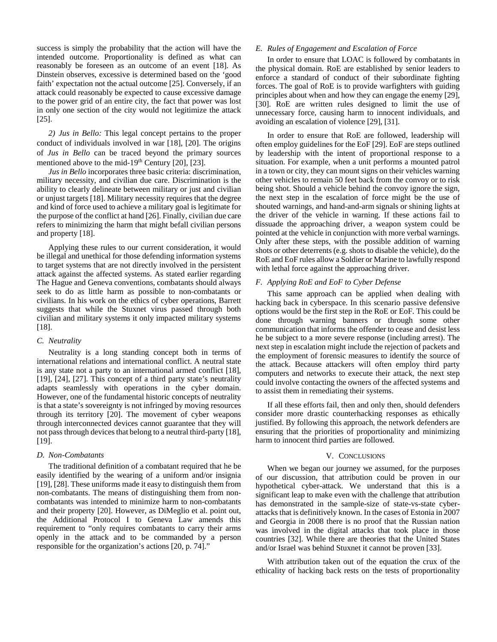success is simply the probability that the action will have the intended outcome. Proportionality is defined as what can reasonably be foreseen as an outcome of an event [18]. As Dinstein observes, excessive is determined based on the 'good faith' expectation not the actual outcome [25]. Conversely, if an attack could reasonably be expected to cause excessive damage to the power grid of an entire city, the fact that power was lost in only one section of the city would not legitimize the attack [25].

*2) Jus in Bello:* This legal concept pertains to the proper conduct of individuals involved in war [18], [20]. The origins of *Jus in Bello* can be traced beyond the primary sources mentioned above to the mid-19<sup>th</sup> Century [20], [23].

*Jus in Bello* incorporates three basic criteria: discrimination, military necessity, and civilian due care. Discrimination is the ability to clearly delineate between military or just and civilian or unjust targets [18]. Military necessity requires that the degree and kind of force used to achieve a military goal is legitimate for the purpose of the conflict at hand [26]. Finally, civilian due care refers to minimizing the harm that might befall civilian persons and property [18].

Applying these rules to our current consideration, it would be illegal and unethical for those defending information systems to target systems that are not directly involved in the persistent attack against the affected systems. As stated earlier regarding The Hague and Geneva conventions, combatants should always seek to do as little harm as possible to non-combatants or civilians. In his work on the ethics of cyber operations, Barrett suggests that while the Stuxnet virus passed through both civilian and military systems it only impacted military systems [18].

# *C. Neutrality*

Neutrality is a long standing concept both in terms of international relations and international conflict. A neutral state is any state not a party to an international armed conflict [18], [19], [24], [27]. This concept of a third party state's neutrality adapts seamlessly with operations in the cyber domain. However, one of the fundamental historic concepts of neutrality is that a state's sovereignty is not infringed by moving resources through its territory [20]. The movement of cyber weapons through interconnected devices cannot guarantee that they will not pass through devices that belong to a neutral third-party [18], [19].

#### *D. Non-Combatants*

The traditional definition of a combatant required that he be easily identified by the wearing of a uniform and/or insignia [19], [28]. These uniforms made it easy to distinguish them from non-combatants. The means of distinguishing them from noncombatants was intended to minimize harm to non-combatants and their property [20]. However, as DiMeglio et al. point out, the Additional Protocol I to Geneva Law amends this requirement to "only requires combatants to carry their arms openly in the attack and to be commanded by a person responsible for the organization's actions [20, p. 74]."

## *E. Rules of Engagement and Escalation of Force*

In order to ensure that LOAC is followed by combatants in the physical domain. RoE are established by senior leaders to enforce a standard of conduct of their subordinate fighting forces. The goal of RoE is to provide warfighters with guiding principles about when and how they can engage the enemy [29], [30]. RoE are written rules designed to limit the use of unnecessary force, causing harm to innocent individuals, and avoiding an escalation of violence [29], [31].

In order to ensure that RoE are followed, leadership will often employ guidelines for the EoF [29]. EoF are steps outlined by leadership with the intent of proportional response to a situation. For example, when a unit performs a mounted patrol in a town or city, they can mount signs on their vehicles warning other vehicles to remain 50 feet back from the convoy or to risk being shot. Should a vehicle behind the convoy ignore the sign, the next step in the escalation of force might be the use of shouted warnings, and hand-and-arm signals or shining lights at the driver of the vehicle in warning. If these actions fail to dissuade the approaching driver, a weapon system could be pointed at the vehicle in conjunction with more verbal warnings. Only after these steps, with the possible addition of warning shots or other deterrents (e.g. shots to disable the vehicle), do the RoE and EoF rules allow a Soldier or Marine to lawfully respond with lethal force against the approaching driver.

## *F. Applying RoE and EoF to Cyber Defense*

This same approach can be applied when dealing with hacking back in cyberspace. In this scenario passive defensive options would be the first step in the RoE or EoF. This could be done through warning banners or through some other communication that informs the offender to cease and desist less he be subject to a more severe response (including arrest). The next step in escalation might include the rejection of packets and the employment of forensic measures to identify the source of the attack. Because attackers will often employ third party computers and networks to execute their attack, the next step could involve contacting the owners of the affected systems and to assist them in remediating their systems.

If all these efforts fail, then and only then, should defenders consider more drastic counterhacking responses as ethically justified. By following this approach, the network defenders are ensuring that the priorities of proportionality and minimizing harm to innocent third parties are followed.

## V. CONCLUSIONS

When we began our journey we assumed, for the purposes of our discussion, that attribution could be proven in our hypothetical cyber-attack. We understand that this is a significant leap to make even with the challenge that attribution has demonstrated in the sample-size of state-vs-state cyberattacks that is definitively known. In the cases of Estonia in 2007 and Georgia in 2008 there is no proof that the Russian nation was involved in the digital attacks that took place in those countries [32]. While there are theories that the United States and/or Israel was behind Stuxnet it cannot be proven [33].

With attribution taken out of the equation the crux of the ethicality of hacking back rests on the tests of proportionality